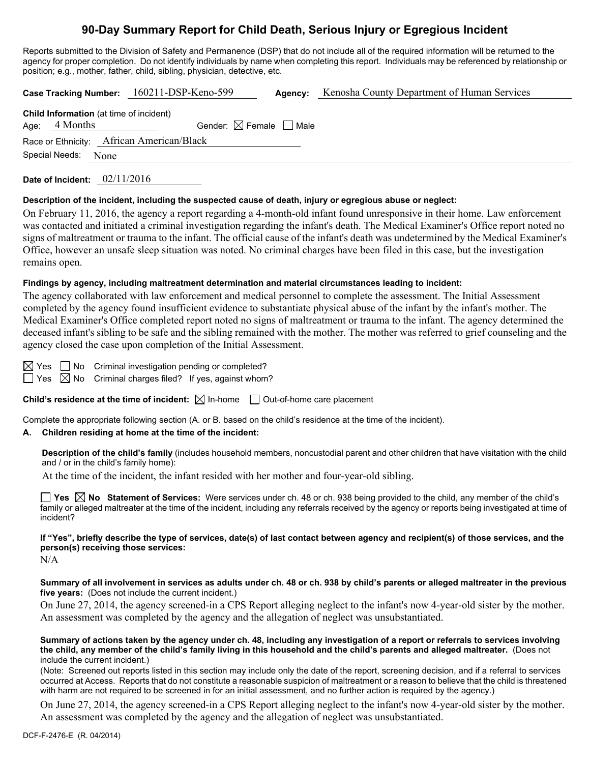# **90-Day Summary Report for Child Death, Serious Injury or Egregious Incident**

Reports submitted to the Division of Safety and Permanence (DSP) that do not include all of the required information will be returned to the agency for proper completion. Do not identify individuals by name when completing this report. Individuals may be referenced by relationship or position; e.g., mother, father, child, sibling, physician, detective, etc.

**Case Tracking Number:** 160211-DSP-Keno-599 **Agency:** Kenosha County Department of Human Services

| <b>Child Information</b> (at time of incident) |               |                                        |  |  |  |
|------------------------------------------------|---------------|----------------------------------------|--|--|--|
|                                                | Age: 4 Months | Gender: $\boxtimes$ Female $\Box$ Male |  |  |  |
| Race or Ethnicity: African American/Black      |               |                                        |  |  |  |
| Special Needs: None                            |               |                                        |  |  |  |

**Date of Incident:** 02/11/2016

## **Description of the incident, including the suspected cause of death, injury or egregious abuse or neglect:**

On February 11, 2016, the agency a report regarding a 4-month-old infant found unresponsive in their home. Law enforcement was contacted and initiated a criminal investigation regarding the infant's death. The Medical Examiner's Office report noted no signs of maltreatment or trauma to the infant. The official cause of the infant's death was undetermined by the Medical Examiner's Office, however an unsafe sleep situation was noted. No criminal charges have been filed in this case, but the investigation remains open.

## **Findings by agency, including maltreatment determination and material circumstances leading to incident:**

The agency collaborated with law enforcement and medical personnel to complete the assessment. The Initial Assessment completed by the agency found insufficient evidence to substantiate physical abuse of the infant by the infant's mother. The Medical Examiner's Office completed report noted no signs of maltreatment or trauma to the infant. The agency determined the deceased infant's sibling to be safe and the sibling remained with the mother. The mother was referred to grief counseling and the agency closed the case upon completion of the Initial Assessment.

 $\boxtimes$  Yes  $\Box$  No Criminal investigation pending or completed?

 $\Box$  Yes  $\boxtimes$  No Criminal charges filed? If yes, against whom?

**Child's residence at the time of incident:**  $\boxtimes$  In-home  $\Box$  Out-of-home care placement

Complete the appropriate following section (A. or B. based on the child's residence at the time of the incident).

# **A. Children residing at home at the time of the incident:**

**Description of the child's family** (includes household members, noncustodial parent and other children that have visitation with the child and / or in the child's family home):

At the time of the incident, the infant resided with her mother and four-year-old sibling.

**Yes No Statement of Services:** Were services under ch. 48 or ch. 938 being provided to the child, any member of the child's family or alleged maltreater at the time of the incident, including any referrals received by the agency or reports being investigated at time of incident?

**If "Yes", briefly describe the type of services, date(s) of last contact between agency and recipient(s) of those services, and the person(s) receiving those services:** 

 $N/A$ 

**Summary of all involvement in services as adults under ch. 48 or ch. 938 by child's parents or alleged maltreater in the previous five years:** (Does not include the current incident.)

On June 27, 2014, the agency screened-in a CPS Report alleging neglect to the infant's now 4-year-old sister by the mother. An assessment was completed by the agency and the allegation of neglect was unsubstantiated.

**Summary of actions taken by the agency under ch. 48, including any investigation of a report or referrals to services involving the child, any member of the child's family living in this household and the child's parents and alleged maltreater.** (Does not include the current incident.)

(Note: Screened out reports listed in this section may include only the date of the report, screening decision, and if a referral to services occurred at Access. Reports that do not constitute a reasonable suspicion of maltreatment or a reason to believe that the child is threatened with harm are not required to be screened in for an initial assessment, and no further action is required by the agency.)

On June 27, 2014, the agency screened-in a CPS Report alleging neglect to the infant's now 4-year-old sister by the mother. An assessment was completed by the agency and the allegation of neglect was unsubstantiated.